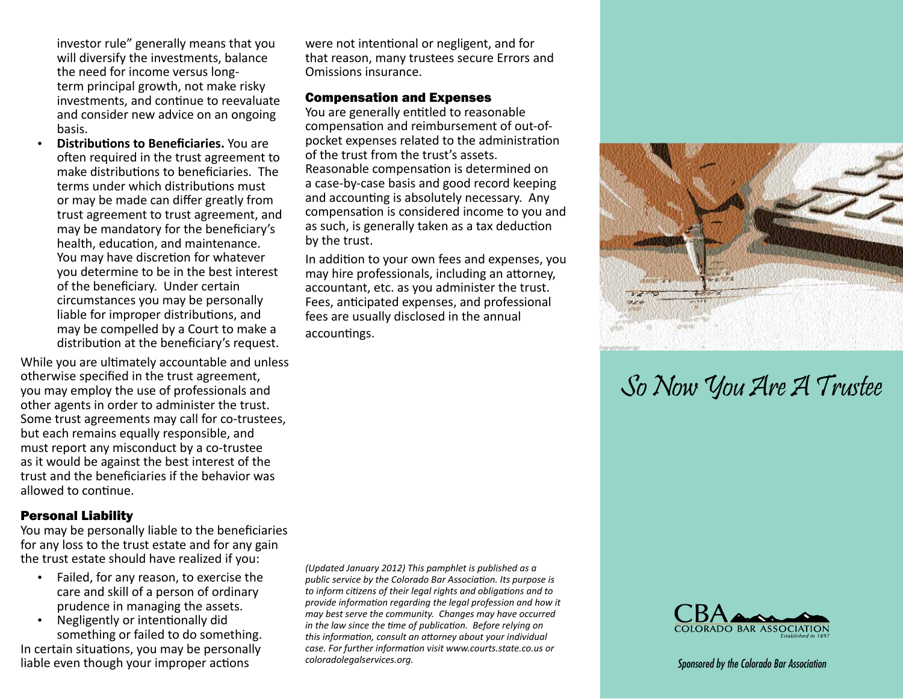investor rule" generally means that you will diversify the investments, balance the need for income versus longterm principal growth, not make risky investments, and continue to reevaluate and consider new advice on an ongoing basis.

• **Distributions to Beneficiaries.** You are often required in the trust agreement to make distributions to beneficiaries. The terms under which distributions must or may be made can differ greatly from trust agreement to trust agreement, and may be mandatory for the beneficiary's health, education, and maintenance. You may have discretion for whatever you determine to be in the best interest of the beneficiary. Under certain circumstances you may be personally liable for improper distributions, and may be compelled by a Court to make a distribution at the beneficiary's request.

While you are ultimately accountable and unless otherwise specified in the trust agreement, you may employ the use of professionals and other agents in order to administer the trust. Some trust agreements may call for co-trustees, but each remains equally responsible, and must report any misconduct by a co-trustee as it would be against the best interest of the trust and the beneficiaries if the behavior was allowed to continue.

#### Personal Liability

You may be personally liable to the beneficiaries for any loss to the trust estate and for any gain the trust estate should have realized if you:

- • Failed, for any reason, to exercise the care and skill of a person of ordinary prudence in managing the assets.
- • Negligently or intentionally did something or failed to do something. In certain situations, you may be personally liable even though your improper actions

were not intentional or negligent, and for that reason, many trustees secure Errors and Omissions insurance.

### Compensation and Expenses

You are generally entitled to reasonable compensation and reimbursement of out-ofpocket expenses related to the administration of the trust from the trust's assets. Reasonable compensation is determined on a case-by-case basis and good record keeping and accounting is absolutely necessary. Any compensation is considered income to you and as such, is generally taken as a tax deduction by the trust.

In addition to your own fees and expenses, you may hire professionals, including an attorney, accountant, etc. as you administer the trust. Fees, anticipated expenses, and professional fees are usually disclosed in the annual accountings.

*(Updated January 2012) This pamphlet is published as a public service by the Colorado Bar Association. Its purpose is to inform citizens of their legal rights and obligations and to provide information regarding the legal profession and how it may best serve the community. Changes may have occurred in the law since the time of publication. Before relying on this information, consult an attorney about your individual case. For further information visit www.courts.state.co.us or coloradolegalservices.org.*



# So Now You Are A Trustee



*Sponsored by the Colorado Bar Association*